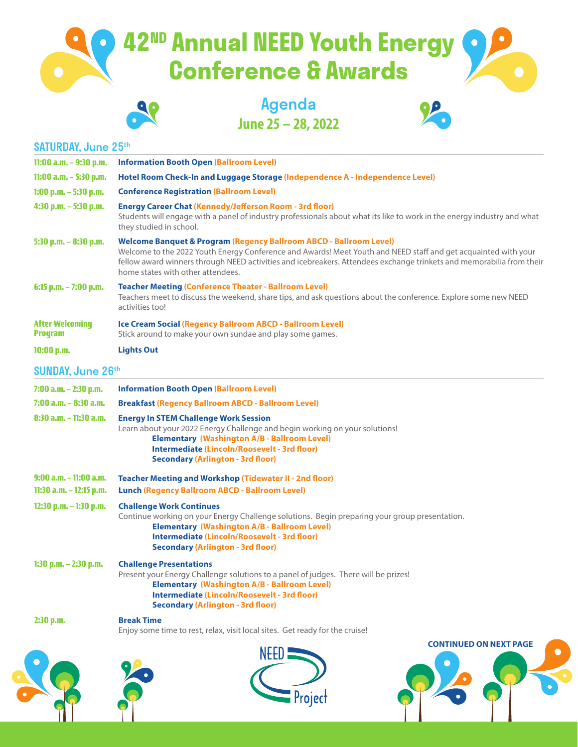